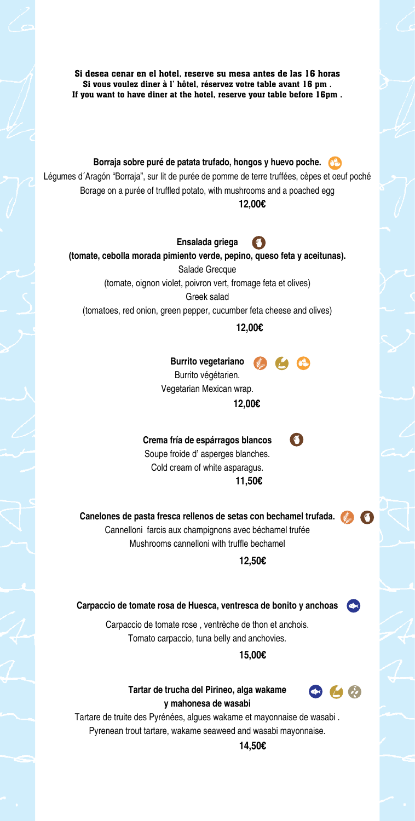Si desea cenar en el hotel, reserve su mesa antes de las 16 horas Si vous voulez diner à l' hôtel, réservez votre table avant 16 pm . If you want to have diner at the hotel, reserve your table before 16pm . **Borraja sobre puré de patata trufado, hongos y huevo poche.** Légumes d´Aragón "Borraja", sur lit de purée de pomme de terre truffées, cèpes et oeuf poché Borage on a purée of truffled potato, with mushrooms and a poached egg **12,00€ Ensalada griega**   $\sqrt{a}$ **(tomate, cebolla morada pimiento verde, pepino, queso feta y aceitunas).** Salade Grecque (tomate, oignon violet, poivron vert, fromage feta et olives) Greek salad (tomatoes, red onion, green pepper, cucumber feta cheese and olives) **12,00€ Burrito vegetariano Burrito végétarien.** Vegetarian Mexican wrap. **12,00€ Crema fría de espárragos blancos**   $\sqrt{2}$ Soupe froide d' asperges blanches. Cold cream of white asparagus. **11,50€ Canelones de pasta fresca rellenos de setas con bechamel trufada.** Cannelloni farcis aux champignons avec béchamel trufée Mushrooms cannelloni with truffle bechamel **12,50€ Carpaccio de tomate rosa de Huesca, ventresca de bonito y anchoas**  Carpaccio de tomate rose , ventrèche de thon et anchois. Tomato carpaccio, tuna belly and anchovies. **15,00€ Tartar de trucha del Pirineo, alga wakame**   $\bullet$   $\bullet$   $\bullet$ **y mahonesa de wasabi AZUFRE** Tartare de truite des Pyrénées, algues wakame et mayonnaise de wasabi . Pyrenean trout tartare, wakame seaweed and wasabi mayonnaise. **14,50€**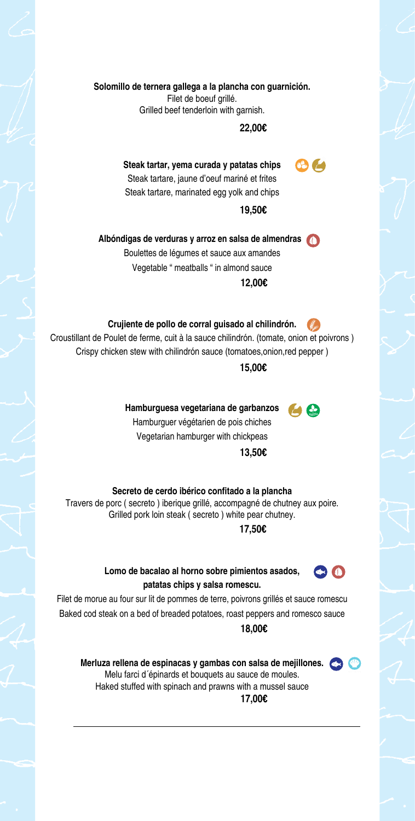